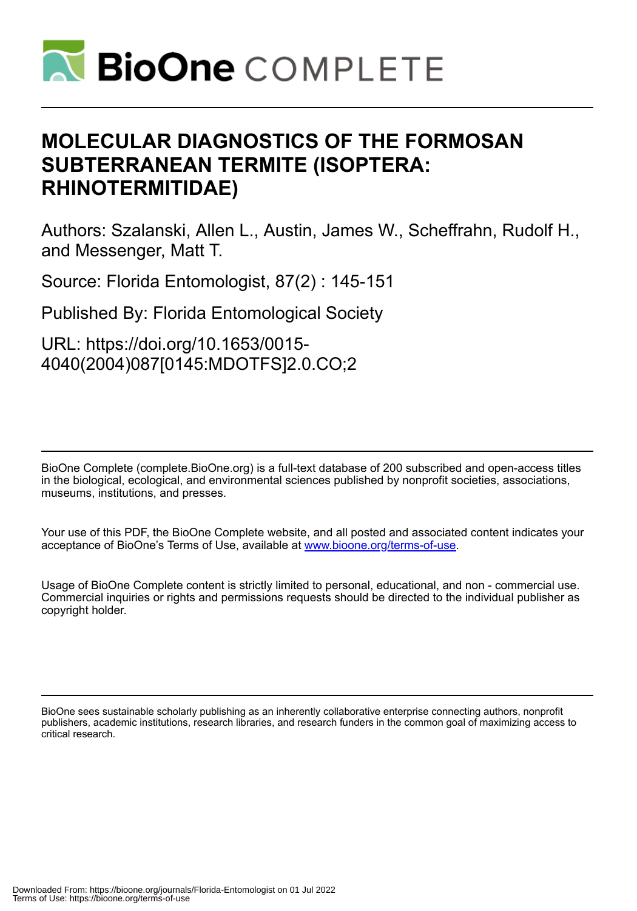

# **MOLECULAR DIAGNOSTICS OF THE FORMOSAN SUBTERRANEAN TERMITE (ISOPTERA: RHINOTERMITIDAE)**

Authors: Szalanski, Allen L., Austin, James W., Scheffrahn, Rudolf H., and Messenger, Matt T.

Source: Florida Entomologist, 87(2) : 145-151

Published By: Florida Entomological Society

URL: https://doi.org/10.1653/0015- 4040(2004)087[0145:MDOTFS]2.0.CO;2

BioOne Complete (complete.BioOne.org) is a full-text database of 200 subscribed and open-access titles in the biological, ecological, and environmental sciences published by nonprofit societies, associations, museums, institutions, and presses.

Your use of this PDF, the BioOne Complete website, and all posted and associated content indicates your acceptance of BioOne's Terms of Use, available at www.bioone.org/terms-of-use.

Usage of BioOne Complete content is strictly limited to personal, educational, and non - commercial use. Commercial inquiries or rights and permissions requests should be directed to the individual publisher as copyright holder.

BioOne sees sustainable scholarly publishing as an inherently collaborative enterprise connecting authors, nonprofit publishers, academic institutions, research libraries, and research funders in the common goal of maximizing access to critical research.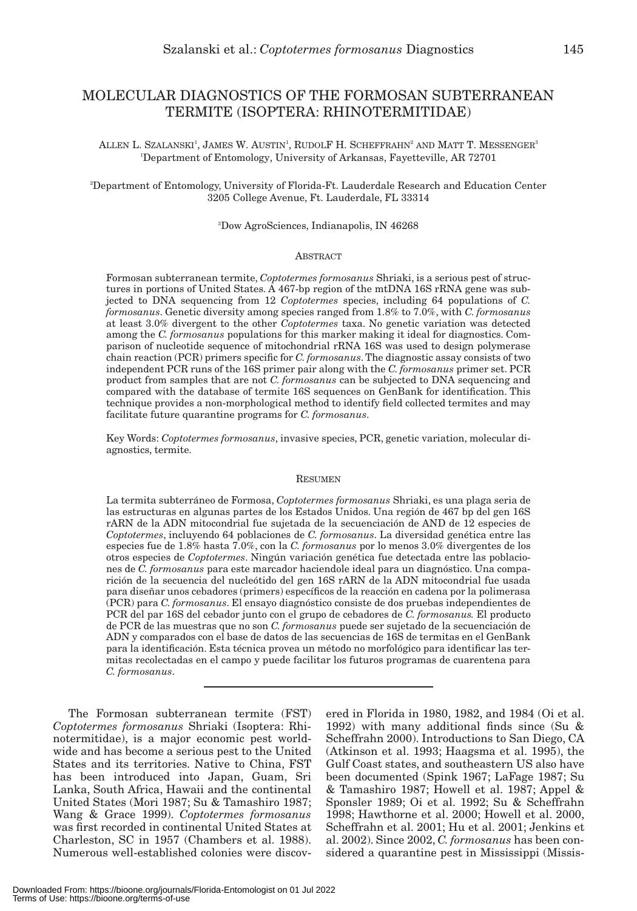# MOLECULAR DIAGNOSTICS OF THE FORMOSAN SUBTERRANEAN TERMITE (ISOPTERA: RHINOTERMITIDAE)

ALLEN L. SZALANSKI<sup>1</sup>, JAMES W. AUSTIN<sup>1</sup>, RUDOLF H. SCHEFFRAHN<sup>2</sup> AND MATT T. MESSENGER<sup>3</sup> 1 Department of Entomology, University of Arkansas, Fayetteville, AR 72701

2 Department of Entomology, University of Florida-Ft. Lauderdale Research and Education Center 3205 College Avenue, Ft. Lauderdale, FL 33314

#### 3 Dow AgroSciences, Indianapolis, IN 46268

## **ABSTRACT**

Formosan subterranean termite, *Coptotermes formosanus* Shriaki, is a serious pest of structures in portions of United States. A 467-bp region of the mtDNA 16S rRNA gene was subjected to DNA sequencing from 12 *Coptotermes* species, including 64 populations of *C. formosanus*. Genetic diversity among species ranged from 1.8% to 7.0%, with *C. formosanus* at least 3.0% divergent to the other *Coptotermes* taxa. No genetic variation was detected among the *C. formosanus* populations for this marker making it ideal for diagnostics. Comparison of nucleotide sequence of mitochondrial rRNA 16S was used to design polymerase chain reaction (PCR) primers specific for *C. formosanus*. The diagnostic assay consists of two independent PCR runs of the 16S primer pair along with the *C. formosanus* primer set. PCR product from samples that are not *C. formosanus* can be subjected to DNA sequencing and compared with the database of termite 16S sequences on GenBank for identification. This technique provides a non-morphological method to identify field collected termites and may facilitate future quarantine programs for *C. formosanus*.

Key Words: *Coptotermes formosanus*, invasive species, PCR, genetic variation, molecular diagnostics, termite.

#### **RESUMEN**

La termita subterráneo de Formosa, *Coptotermes formosanus* Shriaki, es una plaga seria de las estructuras en algunas partes de los Estados Unidos. Una región de 467 bp del gen 16S rARN de la ADN mitocondrial fue sujetada de la secuenciación de AND de 12 especies de *Coptotermes*, incluyendo 64 poblaciones de *C. formosanus*. La diversidad genética entre las especies fue de 1.8% hasta 7.0%, con la *C. formosanus* por lo menos 3.0% divergentes de los otros especies de *Coptotermes*. Ningún variación genética fue detectada entre las poblaciones de *C. formosanus* para este marcador haciendole ideal para un diagnóstico. Una comparición de la secuencia del nucleótido del gen 16S rARN de la ADN mitocondrial fue usada para diseñar unos cebadores (primers) específicos de la reacción en cadena por la polimerasa (PCR) para *C. formosanus*. El ensayo diagnóstico consiste de dos pruebas independientes de PCR del par 16S del cebador junto con el grupo de cebadores de *C. formosanus.* El producto de PCR de las muestras que no son *C. formosanus* puede ser sujetado de la secuenciación de ADN y comparados con el base de datos de las secuencias de 16S de termitas en el GenBank para la identificación. Esta técnica provea un método no morfológico para identificar las termitas recolectadas en el campo y puede facilitar los futuros programas de cuarentena para *C. formosanus*.

The Formosan subterranean termite (FST) *Coptotermes formosanus* Shriaki (Isoptera: Rhinotermitidae), is a major economic pest worldwide and has become a serious pest to the United States and its territories. Native to China, FST has been introduced into Japan, Guam, Sri Lanka, South Africa, Hawaii and the continental United States (Mori 1987; Su & Tamashiro 1987; Wang & Grace 1999). *Coptotermes formosanus* was first recorded in continental United States at Charleston, SC in 1957 (Chambers et al. 1988). Numerous well-established colonies were discovered in Florida in 1980, 1982, and 1984 (Oi et al. 1992) with many additional finds since (Su & Scheffrahn 2000). Introductions to San Diego, CA (Atkinson et al. 1993; Haagsma et al. 1995), the Gulf Coast states, and southeastern US also have been documented (Spink 1967; LaFage 1987; Su & Tamashiro 1987; Howell et al. 1987; Appel & Sponsler 1989; Oi et al. 1992; Su & Scheffrahn 1998; Hawthorne et al. 2000; Howell et al. 2000, Scheffrahn et al. 2001; Hu et al. 2001; Jenkins et al. 2002). Since 2002, *C. formosanus* has been considered a quarantine pest in Mississippi (Missis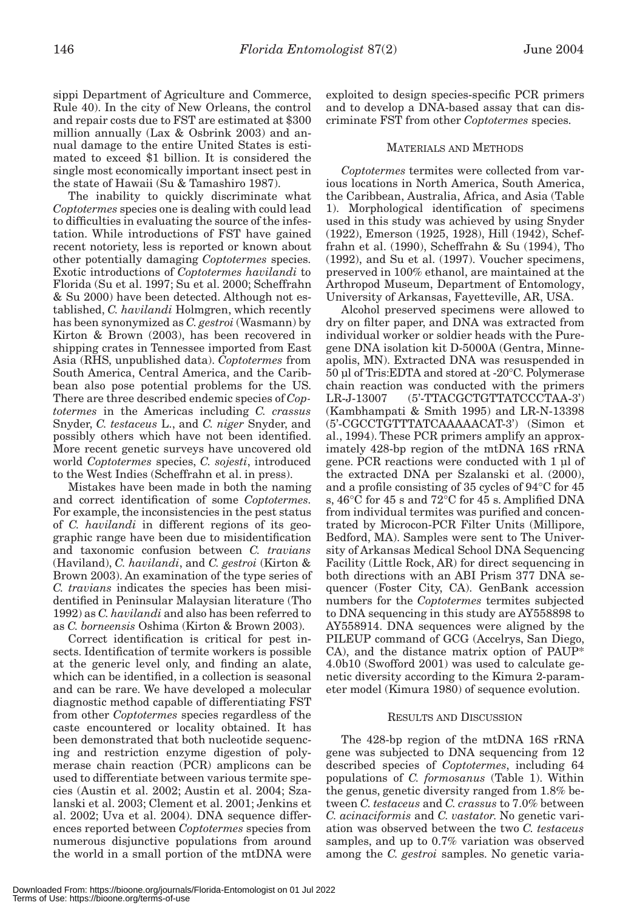sippi Department of Agriculture and Commerce, Rule 40). In the city of New Orleans, the control and repair costs due to FST are estimated at \$300 million annually (Lax & Osbrink 2003) and annual damage to the entire United States is estimated to exceed \$1 billion. It is considered the single most economically important insect pest in the state of Hawaii (Su & Tamashiro 1987).

The inability to quickly discriminate what *Coptotermes* species one is dealing with could lead to difficulties in evaluating the source of the infestation. While introductions of FST have gained recent notoriety, less is reported or known about other potentially damaging *Coptotermes* species. Exotic introductions of *Coptotermes havilandi* to Florida (Su et al. 1997; Su et al. 2000; Scheffrahn & Su 2000) have been detected. Although not established, *C. havilandi* Holmgren, which recently has been synonymized as *C. gestroi* (Wasmann) by Kirton & Brown (2003), has been recovered in shipping crates in Tennessee imported from East Asia (RHS, unpublished data). *Coptotermes* from South America, Central America, and the Caribbean also pose potential problems for the US. There are three described endemic species of *Coptotermes* in the Americas including *C. crassus* Snyder, *C. testaceus* L., and *C. niger* Snyder, and possibly others which have not been identified. More recent genetic surveys have uncovered old world *Coptotermes* species, *C. sojesti*, introduced to the West Indies (Scheffrahn et al. in press).

Mistakes have been made in both the naming and correct identification of some *Coptotermes*. For example, the inconsistencies in the pest status of *C. havilandi* in different regions of its geographic range have been due to misidentification and taxonomic confusion between *C. travians* (Haviland), *C. havilandi*, and *C. gestroi* (Kirton & Brown 2003). An examination of the type series of *C. travians* indicates the species has been misidentified in Peninsular Malaysian literature (Tho 1992) as *C. havilandi* and also has been referred to as *C. borneensis* Oshima (Kirton & Brown 2003).

Correct identification is critical for pest insects. Identification of termite workers is possible at the generic level only, and finding an alate, which can be identified, in a collection is seasonal and can be rare. We have developed a molecular diagnostic method capable of differentiating FST from other *Coptotermes* species regardless of the caste encountered or locality obtained. It has been demonstrated that both nucleotide sequencing and restriction enzyme digestion of polymerase chain reaction (PCR) amplicons can be used to differentiate between various termite species (Austin et al. 2002; Austin et al. 2004; Szalanski et al. 2003; Clement et al. 2001; Jenkins et al. 2002; Uva et al. 2004). DNA sequence differences reported between *Coptotermes* species from numerous disjunctive populations from around the world in a small portion of the mtDNA were exploited to design species-specific PCR primers and to develop a DNA-based assay that can discriminate FST from other *Coptotermes* species.

# MATERIALS AND METHODS

*Coptotermes* termites were collected from various locations in North America, South America, the Caribbean, Australia, Africa, and Asia (Table 1). Morphological identification of specimens used in this study was achieved by using Snyder (1922), Emerson (1925, 1928), Hill (1942), Scheffrahn et al. (1990), Scheffrahn & Su (1994), Tho (1992), and Su et al. (1997). Voucher specimens, preserved in 100% ethanol, are maintained at the Arthropod Museum, Department of Entomology, University of Arkansas, Fayetteville, AR, USA.

Alcohol preserved specimens were allowed to dry on filter paper, and DNA was extracted from individual worker or soldier heads with the Puregene DNA isolation kit D-5000A (Gentra, Minneapolis, MN). Extracted DNA was resuspended in 50 µl of Tris:EDTA and stored at -20°C. Polymerase chain reaction was conducted with the primers<br>LR-J-13007 (5'-TTACGCTGTTATCCCTAA-3') LR-J-13007 (5'-TTACGCTGTTATCCCTAA-3') (Kambhampati & Smith 1995) and LR-N-13398 (5'-CGCCTGTTTATCAAAAACAT-3') (Simon et al., 1994). These PCR primers amplify an approximately 428-bp region of the mtDNA 16S rRNA gene. PCR reactions were conducted with 1 µl of the extracted DNA per Szalanski et al. (2000), and a profile consisting of 35 cycles of 94°C for 45 s, 46°C for 45 s and 72°C for 45 s. Amplified DNA from individual termites was purified and concentrated by Microcon-PCR Filter Units (Millipore, Bedford, MA). Samples were sent to The University of Arkansas Medical School DNA Sequencing Facility (Little Rock, AR) for direct sequencing in both directions with an ABI Prism 377 DNA sequencer (Foster City, CA). GenBank accession numbers for the *Coptotermes* termites subjected to DNA sequencing in this study are AY558898 to AY558914. DNA sequences were aligned by the PILEUP command of GCG (Accelrys, San Diego, CA), and the distance matrix option of PAUP\* 4.0b10 (Swofford 2001) was used to calculate genetic diversity according to the Kimura 2-parameter model (Kimura 1980) of sequence evolution.

# RESULTS AND DISCUSSION

The 428-bp region of the mtDNA 16S rRNA gene was subjected to DNA sequencing from 12 described species of *Coptotermes*, including 64 populations of *C. formosanus* (Table 1). Within the genus, genetic diversity ranged from 1.8% between *C. testaceus* and *C. crassus* to 7.0% between *C. acinaciformis* and *C. vastator*. No genetic variation was observed between the two *C. testaceus* samples, and up to 0.7% variation was observed among the *C. gestroi* samples. No genetic varia-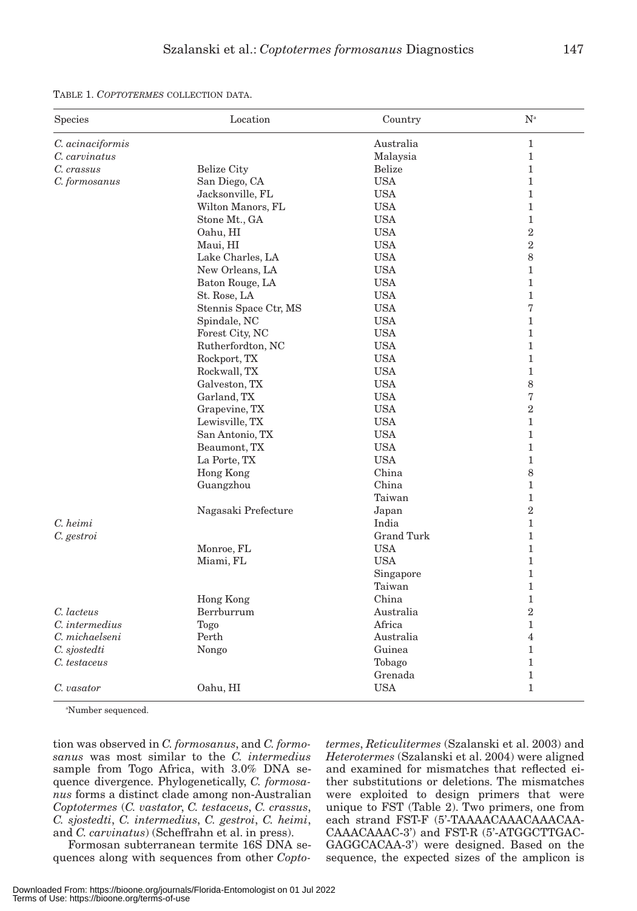TABLE 1. *COPTOTERMES* COLLECTION DATA.

| <b>Species</b>   | Location              | Country             | $N^a$          |
|------------------|-----------------------|---------------------|----------------|
| C. acinaciformis |                       | Australia           | $\mathbf{1}$   |
| C. carvinatus    |                       | Malaysia            | 1              |
| C. crassus       | <b>Belize City</b>    | Belize              | 1              |
| C. formosanus    | San Diego, CA         | <b>USA</b>          | 1              |
|                  | Jacksonville, FL      | <b>USA</b>          | $\mathbf{1}$   |
|                  | Wilton Manors, FL     | USA                 | $\mathbf{1}$   |
|                  | Stone Mt., GA         | USA                 | 1              |
|                  | Oahu, HI              | <b>USA</b>          | $\overline{2}$ |
|                  | Maui, HI              | <b>USA</b>          | $\sqrt{2}$     |
|                  | Lake Charles, LA      | <b>USA</b>          | 8              |
|                  | New Orleans, LA       | <b>USA</b>          | $\mathbf{1}$   |
|                  | Baton Rouge, LA       | USA                 | 1              |
|                  | St. Rose, LA          | <b>USA</b>          | $\mathbf{1}$   |
|                  | Stennis Space Ctr, MS | <b>USA</b>          | 7              |
|                  | Spindale, NC          | <b>USA</b>          | $\mathbf{1}$   |
|                  | Forest City, NC       | <b>USA</b>          | 1              |
|                  | Rutherfordton, NC     | USA                 | 1              |
|                  | Rockport, TX          | <b>USA</b>          | $\mathbf{1}$   |
|                  | Rockwall, TX          | <b>USA</b>          | 1              |
|                  | Galveston, TX         | <b>USA</b>          | $\,8\,$        |
|                  | Garland, TX           | <b>USA</b>          | 7              |
|                  | Grapevine, TX         | <b>USA</b>          | $\overline{2}$ |
|                  | Lewisville, TX        | USA                 | $\mathbf{1}$   |
|                  | San Antonio, TX       | <b>USA</b>          | $\mathbf{1}$   |
|                  | Beaumont, TX          | <b>USA</b>          | 1              |
|                  | La Porte, TX          | <b>USA</b>          | $\mathbf{1}$   |
|                  | Hong Kong             | China               | 8              |
|                  | Guangzhou             | China               | 1              |
|                  |                       | Taiwan              | $\mathbf{1}$   |
|                  | Nagasaki Prefecture   | Japan               | $\,2$          |
| C. heimi         |                       | India               | $\mathbf{1}$   |
| C. gestroi       |                       | <b>Grand Turk</b>   | 1              |
|                  | Monroe, FL            | <b>USA</b>          | 1              |
|                  |                       | USA                 | 1              |
|                  | Miami, FL             |                     | $\mathbf{1}$   |
|                  |                       | Singapore<br>Taiwan | $\mathbf{1}$   |
|                  |                       |                     |                |
|                  | Hong Kong             | China               | 1              |
| C. lacteus       | Berrburrum            | Australia           | $\overline{2}$ |
| C. intermedius   | Togo                  | Africa              | 1              |
| C. michaelseni   | Perth                 | Australia           | $\overline{4}$ |
| C. sjostedti     | Nongo                 | Guinea              | 1              |
| C. testaceus     |                       | Tobago              | $\mathbf{1}$   |
|                  |                       | Grenada             | 1              |
| C. vasator       | Oahu, HI              | USA                 | 1              |

a Number sequenced.

tion was observed in *C. formosanus*, and *C. formosanus* was most similar to the *C. intermedius* sample from Togo Africa, with 3.0% DNA sequence divergence. Phylogenetically, *C. formosanus* forms a distinct clade among non-Australian *Coptotermes* (*C. vastator*, *C. testaceus*, *C. crassus*, *C. sjostedti*, *C. intermedius*, *C. gestroi*, *C. heimi*, and *C. carvinatus*) (Scheffrahn et al. in press).

Formosan subterranean termite 16S DNA sequences along with sequences from other *Copto-* *termes*, *Reticulitermes* (Szalanski et al. 2003) and *Heterotermes* (Szalanski et al. 2004) were aligned and examined for mismatches that reflected either substitutions or deletions. The mismatches were exploited to design primers that were unique to FST (Table 2). Two primers, one from each strand FST-F (5'-TAAAACAAACAAACAA-CAAACAAAC-3') and FST-R (5'-ATGGCTTGAC-GAGGCACAA-3') were designed. Based on the sequence, the expected sizes of the amplicon is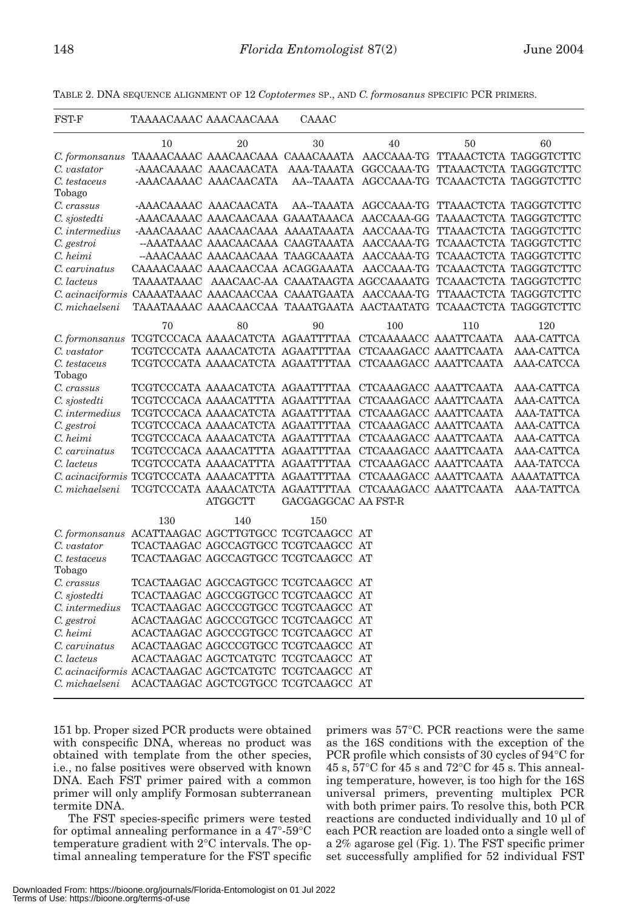| FST-F          |     | TAAAACAAAC AAACAACAAA | CAAAC                                                |                                                                                    |     |                   |
|----------------|-----|-----------------------|------------------------------------------------------|------------------------------------------------------------------------------------|-----|-------------------|
|                | 10  | 20                    | 30                                                   | 40                                                                                 | 50  | 60                |
|                |     |                       |                                                      | C. formonsanus TAAAACAAAC AAACAACAAA CAAACAAATA AACCAAA-TG TTAAACTCTA TAGGGTCTTC   |     |                   |
| C. vastator    |     |                       |                                                      | -AAACAAAAC AAACAACATA AAA-TAAATA GGCCAAA-TG TTAAACTCTA TAGGGTCTTC                  |     |                   |
| C. testaceus   |     | -AAACAAAAC AAACAACATA |                                                      | AA-TAAATA AGCCAAA-TG TCAAACTCTA TAGGGTCTTC                                         |     |                   |
| Tobago         |     |                       |                                                      |                                                                                    |     |                   |
| C. crassus     |     | -AAACAAAAC AAACAACATA |                                                      | AA--TAAATA AGCCAAA-TG TTAAACTCTA TAGGGTCTTC                                        |     |                   |
| C. sjostedti   |     |                       |                                                      | -AAACAAAAC AAACAACAAA GAAATAAACA AACCAAA-GG TAAAACTCTA TAGGGTCTTC                  |     |                   |
| C. intermedius |     |                       |                                                      | -AAACAAAAC AAACAACAAA AAAATAAATA AACCAAA-TG TTAAACTCTA TAGGGTCTTC                  |     |                   |
| C. gestroi     |     |                       |                                                      | --AAATAAAC AAACAACAAA CAAGTAAATA AACCAAA-TG TCAAACTCTA TAGGGTCTTC                  |     |                   |
| C. heimi       |     |                       |                                                      | --AAACAAAC AAACAACAAA TAAGCAAATA AACCAAA-TG TCAAACTCTA TAGGGTCTTC                  |     |                   |
| C. carvinatus  |     |                       |                                                      | CAAAACAAAC AAACAACCAA ACAGGAAATA AACCAAA-TG TCAAACTCTA TAGGGTCTTC                  |     |                   |
| C. lacteus     |     |                       |                                                      | TAAAATAAAC AAACAAC-AA CAAATAAGTA AGCCAAAATG TCAAACTCTA TAGGGTCTTC                  |     |                   |
|                |     |                       |                                                      | C. acinaciformis CAAAATAAAC AAACAACCAA CAAATGAATA AACCAAA-TG TTAAACTCTA TAGGGTCTTC |     |                   |
| C. michaelseni |     |                       |                                                      | TAAATAAAAC AAACAACCAA TAAATGAATA AACTAATATG TCAAACTCTA TAGGGTCTTC                  |     |                   |
|                | 70  | 80                    | 90                                                   | 100                                                                                | 110 | 120               |
|                |     |                       |                                                      | C. formonsanus TCGTCCCACA AAAACATCTA AGAATTTTAA CTCAAAAACC AAATTCAATA              |     | AAA-CATTCA        |
| C. vastator    |     |                       |                                                      | TCGTCCCATA AAAACATCTA AGAATTTTAA CTCAAAGACC AAATTCAATA                             |     | AAA-CATTCA        |
| C. testaceus   |     |                       |                                                      | TCGTCCCATA AAAACATCTA AGAATTTTAA CTCAAAGACC AAATTCAATA                             |     | AAA-CATCCA        |
| Tobago         |     |                       |                                                      |                                                                                    |     |                   |
| C. crassus     |     |                       |                                                      | TCGTCCCATA AAAACATCTA AGAATTTTAA CTCAAAGACC AAATTCAATA                             |     | <b>AAA-CATTCA</b> |
| C. sjostedti   |     |                       |                                                      | TCGTCCCACA AAAACATTTA AGAATTTTAA CTCAAAGACC AAATTCAATA                             |     | AAA-CATTCA        |
| C. intermedius |     |                       |                                                      | TCGTCCCACA AAAACATCTA AGAATTTTAA CTCAAAGACC AAATTCAATA                             |     | <b>AAA-TATTCA</b> |
| C. gestroi     |     |                       |                                                      | TCGTCCCACA AAAACATCTA AGAATTTTAA CTCAAAGACC AAATTCAATA                             |     | <b>AAA-CATTCA</b> |
| C. heimi       |     |                       |                                                      | TCGTCCCACA AAAACATCTA AGAATTTTAA CTCAAAGACC AAATTCAATA                             |     | <b>AAA-CATTCA</b> |
| C. carvinatus  |     |                       |                                                      | TCGTCCCACA AAAACATTTA AGAATTTTAA CTCAAAGACC AAATTCAATA                             |     | AAA-CATTCA        |
| C. lacteus     |     |                       |                                                      | TCGTCCCATA AAAACATTTA AGAATTTTAA CTCAAAGACC AAATTCAATA                             |     | <b>AAA-TATCCA</b> |
|                |     |                       |                                                      | C. acinaciformis TCGTCCCATA AAAACATTTA AGAATTTTAA CTCAAAGACC AAATTCAATA AAAATATTCA |     |                   |
| C. michaelseni |     |                       |                                                      | TCGTCCCATA AAAACATCTA AGAATTTTAA CTCAAAGACC AAATTCAATA                             |     | AAA-TATTCA        |
|                |     | ATGGCTT               | GACGAGGCAC AA FST-R                                  |                                                                                    |     |                   |
|                | 130 | 140                   | 150                                                  |                                                                                    |     |                   |
|                |     |                       | C. formonsanus ACATTAAGAC AGCTTGTGCC TCGTCAAGCC AT   |                                                                                    |     |                   |
| C. vastator    |     |                       | TCACTAAGAC AGCCAGTGCC TCGTCAAGCC AT                  |                                                                                    |     |                   |
| C. testaceus   |     |                       | TCACTAAGAC AGCCAGTGCC TCGTCAAGCC AT                  |                                                                                    |     |                   |
| Tobago         |     |                       |                                                      |                                                                                    |     |                   |
| C. crassus     |     |                       | TCACTAAGAC AGCCAGTGCC TCGTCAAGCC AT                  |                                                                                    |     |                   |
| C. sjostedti   |     |                       | TCACTAAGAC AGCCGGTGCC TCGTCAAGCC AT                  |                                                                                    |     |                   |
| C. intermedius |     |                       | TCACTAAGAC AGCCCGTGCC TCGTCAAGCC AT                  |                                                                                    |     |                   |
| C. gestroi     |     |                       | ACACTAAGAC AGCCCGTGCC TCGTCAAGCC AT                  |                                                                                    |     |                   |
| C. heimi       |     |                       | ACACTAAGAC AGCCCGTGCC TCGTCAAGCC AT                  |                                                                                    |     |                   |
| C. carvinatus  |     |                       | ACACTAAGAC AGCCCGTGCC TCGTCAAGCC AT                  |                                                                                    |     |                   |
| C. lacteus     |     |                       | ACACTAAGAC AGCTCATGTC TCGTCAAGCC AT                  |                                                                                    |     |                   |
|                |     |                       | C. acinaciformis ACACTAAGAC AGCTCATGTC TCGTCAAGCC AT |                                                                                    |     |                   |
|                |     |                       | C. michaelseni ACACTAAGAC AGCTCGTGCC TCGTCAAGCC AT   |                                                                                    |     |                   |

TABLE 2. DNA SEQUENCE ALIGNMENT OF 12 *Coptotermes* SP., AND *C. formosanus* SPECIFIC PCR PRIMERS.

151 bp. Proper sized PCR products were obtained with conspecific DNA, whereas no product was obtained with template from the other species, i.e., no false positives were observed with known DNA. Each FST primer paired with a common primer will only amplify Formosan subterranean termite DNA.

The FST species-specific primers were tested for optimal annealing performance in a 47°-59°C temperature gradient with 2°C intervals. The optimal annealing temperature for the FST specific

primers was 57°C. PCR reactions were the same as the 16S conditions with the exception of the PCR profile which consists of 30 cycles of 94°C for 45 s,  $57^{\circ}$ C for 45 s and  $72^{\circ}$ C for 45 s. This annealing temperature, however, is too high for the 16S universal primers, preventing multiplex PCR with both primer pairs. To resolve this, both PCR reactions are conducted individually and 10 µl of each PCR reaction are loaded onto a single well of a 2% agarose gel (Fig. 1). The FST specific primer set successfully amplified for 52 individual FST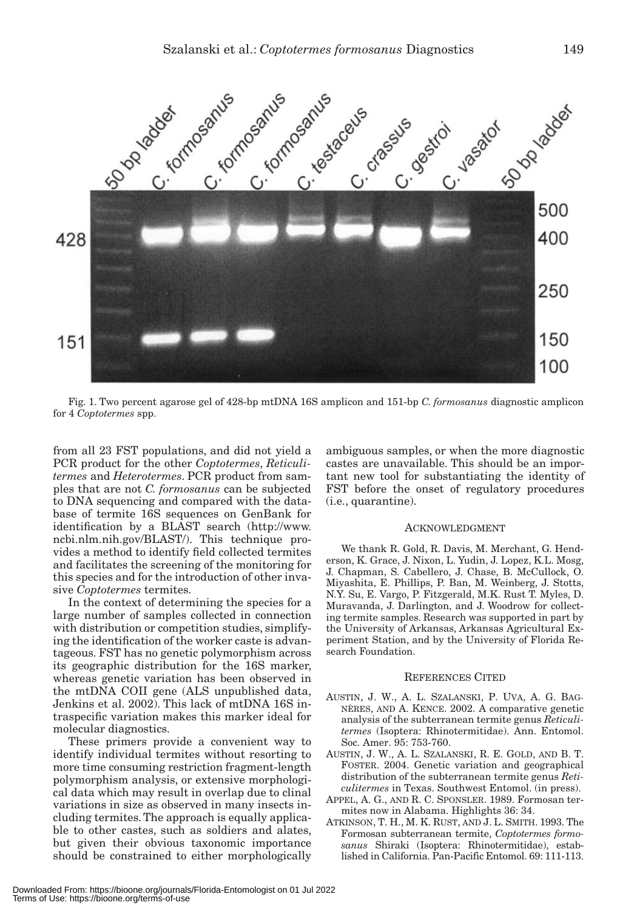

Fig. 1. Two percent agarose gel of 428-bp mtDNA 16S amplicon and 151-bp *C. formosanus* diagnostic amplicon for 4 *Coptotermes* spp.

from all 23 FST populations, and did not yield a PCR product for the other *Coptotermes*, *Reticulitermes* and *Heterotermes*. PCR product from samples that are not *C. formosanus* can be subjected to DNA sequencing and compared with the database of termite 16S sequences on GenBank for identification by a BLAST search (http://www. ncbi.nlm.nih.gov/BLAST/). This technique provides a method to identify field collected termites and facilitates the screening of the monitoring for this species and for the introduction of other invasive *Coptotermes* termites.

In the context of determining the species for a large number of samples collected in connection with distribution or competition studies, simplifying the identification of the worker caste is advantageous. FST has no genetic polymorphism across its geographic distribution for the 16S marker, whereas genetic variation has been observed in the mtDNA COII gene (ALS unpublished data, Jenkins et al. 2002). This lack of mtDNA 16S intraspecific variation makes this marker ideal for molecular diagnostics.

These primers provide a convenient way to identify individual termites without resorting to more time consuming restriction fragment-length polymorphism analysis, or extensive morphological data which may result in overlap due to clinal variations in size as observed in many insects including termites. The approach is equally applicable to other castes, such as soldiers and alates, but given their obvious taxonomic importance should be constrained to either morphologically

ambiguous samples, or when the more diagnostic castes are unavailable. This should be an important new tool for substantiating the identity of FST before the onset of regulatory procedures (i.e., quarantine).

#### ACKNOWLEDGMENT

We thank R. Gold, R. Davis, M. Merchant, G. Henderson, K. Grace, J. Nixon, L. Yudin, J. Lopez, K.L. Mosg, J. Chapman, S. Cabellero, J. Chase, B. McCullock, O. Miyashita, E. Phillips, P. Ban, M. Weinberg, J. Stotts, N.Y. Su, E. Vargo, P. Fitzgerald, M.K. Rust T. Myles, D. Muravanda, J. Darlington, and J. Woodrow for collecting termite samples. Research was supported in part by the University of Arkansas, Arkansas Agricultural Experiment Station, and by the University of Florida Research Foundation.

### REFERENCES CITED

- AUSTIN, J. W., A. L. SZALANSKI, P. UVA, A. G. BAG-NÈRES, AND A. KENCE. 2002. A comparative genetic analysis of the subterranean termite genus *Reticulitermes* (Isoptera: Rhinotermitidae). Ann. Entomol. Soc. Amer. 95: 753-760.
- AUSTIN, J. W., A. L. SZALANSKI, R. E. GOLD, AND B. T. FOSTER. 2004. Genetic variation and geographical distribution of the subterranean termite genus *Reticulitermes* in Texas. Southwest Entomol. (in press).
- APPEL, A. G., AND R. C. SPONSLER. 1989. Formosan termites now in Alabama. Highlights 36: 34.
- ATKINSON, T. H., M. K. RUST, AND J. L. SMITH. 1993. The Formosan subterranean termite, *Coptotermes formosanus* Shiraki (Isoptera: Rhinotermitidae), established in California. Pan-Pacific Entomol. 69: 111-113.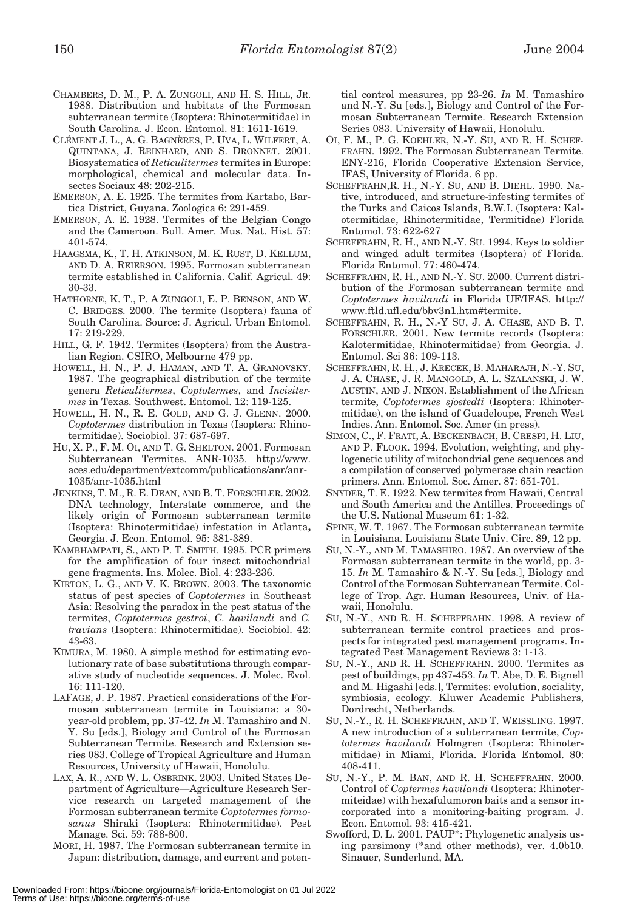- CHAMBERS, D. M., P. A. ZUNGOLI, AND H. S. HILL, JR. 1988. Distribution and habitats of the Formosan subterranean termite (Isoptera: Rhinotermitidae) in South Carolina. J. Econ. Entomol. 81: 1611-1619.
- CLÉMENT J. L., A. G. BAGNÈRES, P. UVA, L. WILFERT, A. QUINTANA, J. REINHARD, AND S. DRONNET. 2001. Biosystematics of *Reticulitermes* termites in Europe: morphological, chemical and molecular data. Insectes Sociaux 48: 202-215.
- EMERSON, A. E. 1925. The termites from Kartabo, Bartica District, Guyana. Zoologica 6: 291-459.
- EMERSON, A. E. 1928. Termites of the Belgian Congo and the Cameroon. Bull. Amer. Mus. Nat. Hist. 57: 401-574.
- HAAGSMA, K., T. H. ATKINSON, M. K. RUST, D. KELLUM, AND D. A. REIERSON. 1995. Formosan subterranean termite established in California. Calif. Agricul. 49: 30-33.
- HATHORNE, K. T., P. A ZUNGOLI, E. P. BENSON, AND W. C. BRIDGES. 2000. The termite (Isoptera) fauna of South Carolina. Source: J. Agricul. Urban Entomol. 17: 219-229.
- HILL, G. F. 1942. Termites (Isoptera) from the Australian Region. CSIRO, Melbourne 479 pp.
- HOWELL, H. N., P. J. HAMAN, AND T. A. GRANOVSKY. 1987. The geographical distribution of the termite genera *Reticulitermes*, *Coptotermes*, and *Incisitermes* in Texas. Southwest. Entomol. 12: 119-125.
- HOWELL, H. N., R. E. GOLD, AND G. J. GLENN. 2000. *Coptotermes* distribution in Texas (Isoptera: Rhinotermitidae). Sociobiol. 37: 687-697.
- HU, X. P., F. M. OI, AND T. G. SHELTON. 2001. Formosan Subterranean Termites. ANR-1035. http://www. aces.edu/department/extcomm/publications/anr/anr-1035/anr-1035.html
- JENKINS, T. M., R. E. DEAN, AND B. T. FORSCHLER. 2002. DNA technology, Interstate commerce, and the likely origin of Formosan subterranean termite (Isoptera: Rhinotermitidae) infestation in Atlanta**,** Georgia. J. Econ. Entomol. 95: 381-389.
- KAMBHAMPATI, S., AND P. T. SMITH. 1995. PCR primers for the amplification of four insect mitochondrial gene fragments. Ins. Molec. Biol. 4: 233-236.
- KIRTON, L. G., AND V. K. BROWN. 2003. The taxonomic status of pest species of *Coptotermes* in Southeast Asia: Resolving the paradox in the pest status of the termites, *Coptotermes gestroi*, *C. havilandi* and *C. travians* (Isoptera: Rhinotermitidae). Sociobiol. 42: 43-63.
- KIMURA, M. 1980. A simple method for estimating evolutionary rate of base substitutions through comparative study of nucleotide sequences. J. Molec. Evol. 16: 111-120.
- LAFAGE, J. P. 1987. Practical considerations of the Formosan subterranean termite in Louisiana: a 30 year-old problem, pp. 37-42. *In* M. Tamashiro and N. Y. Su [eds.], Biology and Control of the Formosan Subterranean Termite. Research and Extension series 083. College of Tropical Agriculture and Human Resources, University of Hawaii, Honolulu.
- LAX, A. R., AND W. L. OSBRINK. 2003. United States Department of Agriculture—Agriculture Research Service research on targeted management of the Formosan subterranean termite *Coptotermes formosanus* Shiraki (Isoptera: Rhinotermitidae). Pest Manage. Sci. 59: 788-800.
- MORI, H. 1987. The Formosan subterranean termite in Japan: distribution, damage, and current and poten-

tial control measures, pp 23-26. *In* M. Tamashiro and N.-Y. Su [eds.], Biology and Control of the Formosan Subterranean Termite. Research Extension Series 083. University of Hawaii, Honolulu.

- OI, F. M., P. G. KOEHLER, N.-Y. SU, AND R. H. SCHEF-FRAHN. 1992. The Formosan Subterranean Termite. ENY-216, Florida Cooperative Extension Service, IFAS, University of Florida. 6 pp.
- SCHEFFRAHN,R. H., N.-Y. SU, AND B. DIEHL. 1990. Native, introduced, and structure-infesting termites of the Turks and Caicos Islands, B.W.I. (Isoptera: Kalotermitidae, Rhinotermitidae, Termitidae) Florida Entomol. 73: 622-627
- SCHEFFRAHN, R. H., AND N.-Y. SU. 1994. Keys to soldier and winged adult termites (Isoptera) of Florida. Florida Entomol. 77: 460-474.
- SCHEFFRAHN, R. H., AND N.-Y. SU. 2000. Current distribution of the Formosan subterranean termite and *Coptotermes havilandi* in Florida UF/IFAS. http:// www.ftld.ufl.edu/bbv3n1.htm#termite.
- SCHEFFRAHN, R. H., N.-Y SU, J. A. CHASE, AND B. T. FORSCHLER. 2001. New termite records (Isoptera: Kalotermitidae, Rhinotermitidae) from Georgia. J. Entomol. Sci 36: 109-113.
- SCHEFFRAHN, R. H., J. KRECEK, B. MAHARAJH, N.-Y. SU, J. A. CHASE, J. R. MANGOLD, A. L. SZALANSKI, J. W. AUSTIN, AND J. NIXON. Establishment of the African termite, *Coptotermes sjostedti* (Isoptera: Rhinotermitidae), on the island of Guadeloupe, French West Indies. Ann. Entomol. Soc. Amer (in press).
- SIMON, C., F. FRATI, A. BECKENBACH, B. CRESPI, H. LIU, AND P. FLOOK. 1994. Evolution, weighting, and phylogenetic utility of mitochondrial gene sequences and a compilation of conserved polymerase chain reaction primers. Ann. Entomol. Soc. Amer. 87: 651-701.
- SNYDER, T. E. 1922. New termites from Hawaii, Central and South America and the Antilles. Proceedings of the U.S. National Museum 61: 1-32.
- SPINK, W. T. 1967. The Formosan subterranean termite in Louisiana. Louisiana State Univ. Circ. 89, 12 pp.
- SU, N.-Y., AND M. TAMASHIRO. 1987. An overview of the Formosan subterranean termite in the world, pp. 3- 15. *In* M. Tamashiro & N.-Y. Su [eds.], Biology and Control of the Formosan Subterranean Termite. College of Trop. Agr. Human Resources, Univ. of Hawaii, Honolulu.
- SU, N.-Y., AND R. H. SCHEFFRAHN. 1998. A review of subterranean termite control practices and prospects for integrated pest management programs. Integrated Pest Management Reviews 3: 1-13.
- SU, N.-Y., AND R. H. SCHEFFRAHN. 2000. Termites as pest of buildings, pp 437-453. *In* T. Abe, D. E. Bignell and M. Higashi [eds.], Termites: evolution, sociality, symbiosis, ecology. Kluwer Academic Publishers, Dordrecht, Netherlands.
- SU, N.-Y., R. H. SCHEFFRAHN, AND T. WEISSLING. 1997. A new introduction of a subterranean termite, *Coptotermes havilandi* Holmgren (Isoptera: Rhinotermitidae) in Miami, Florida. Florida Entomol. 80: 408-411.
- SU, N.-Y., P. M. BAN, AND R. H. SCHEFFRAHN. 2000. Control of *Coptermes havilandi* (Isoptera: Rhinotermiteidae) with hexafulumoron baits and a sensor incorporated into a monitoring-baiting program. J. Econ. Entomol. 93: 415-421.
- Swofford, D. L. 2001. PAUP\*: Phylogenetic analysis using parsimony (\*and other methods), ver. 4.0b10. Sinauer, Sunderland, MA.